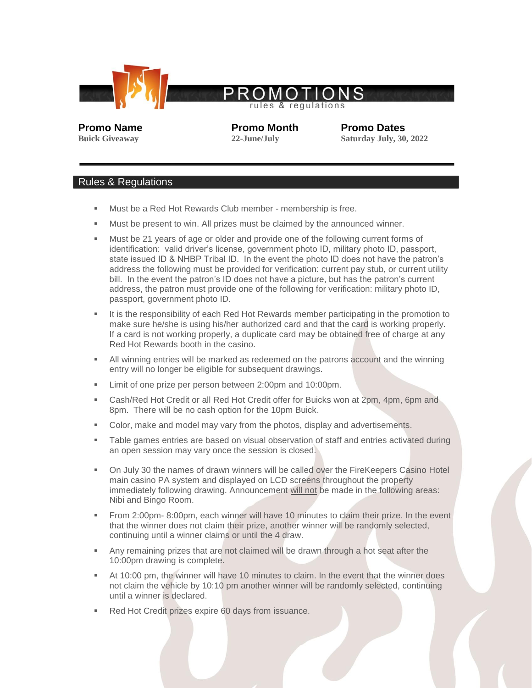

**Promo Name Promo Month Promo Dates**

**Buick Giveaway 22-June/July Saturday July, 30, 2022**

## Rules & Regulations

- Must be a Red Hot Rewards Club member membership is free.
- Must be present to win. All prizes must be claimed by the announced winner.
- Must be 21 years of age or older and provide one of the following current forms of identification: valid driver's license, government photo ID, military photo ID, passport, state issued ID & NHBP Tribal ID. In the event the photo ID does not have the patron's address the following must be provided for verification: current pay stub, or current utility bill. In the event the patron's ID does not have a picture, but has the patron's current address, the patron must provide one of the following for verification: military photo ID, passport, government photo ID.
- It is the responsibility of each Red Hot Rewards member participating in the promotion to make sure he/she is using his/her authorized card and that the card is working properly. If a card is not working properly, a duplicate card may be obtained free of charge at any Red Hot Rewards booth in the casino.
- All winning entries will be marked as redeemed on the patrons account and the winning entry will no longer be eligible for subsequent drawings.
- **EXECT** Limit of one prize per person between 2:00pm and 10:00pm.
- Cash/Red Hot Credit or all Red Hot Credit offer for Buicks won at 2pm, 4pm, 6pm and 8pm. There will be no cash option for the 10pm Buick.
- Color, make and model may vary from the photos, display and advertisements.
- Table games entries are based on visual observation of staff and entries activated during an open session may vary once the session is closed.
- On July 30 the names of drawn winners will be called over the FireKeepers Casino Hotel main casino PA system and displayed on LCD screens throughout the property immediately following drawing. Announcement will not be made in the following areas: Nibi and Bingo Room.
- From 2:00pm- 8:00pm, each winner will have 10 minutes to claim their prize. In the event that the winner does not claim their prize, another winner will be randomly selected, continuing until a winner claims or until the 4 draw.
- Any remaining prizes that are not claimed will be drawn through a hot seat after the 10:00pm drawing is complete.
- At 10:00 pm, the winner will have 10 minutes to claim. In the event that the winner does not claim the vehicle by 10:10 pm another winner will be randomly selected, continuing until a winner is declared.
- Red Hot Credit prizes expire 60 days from issuance.